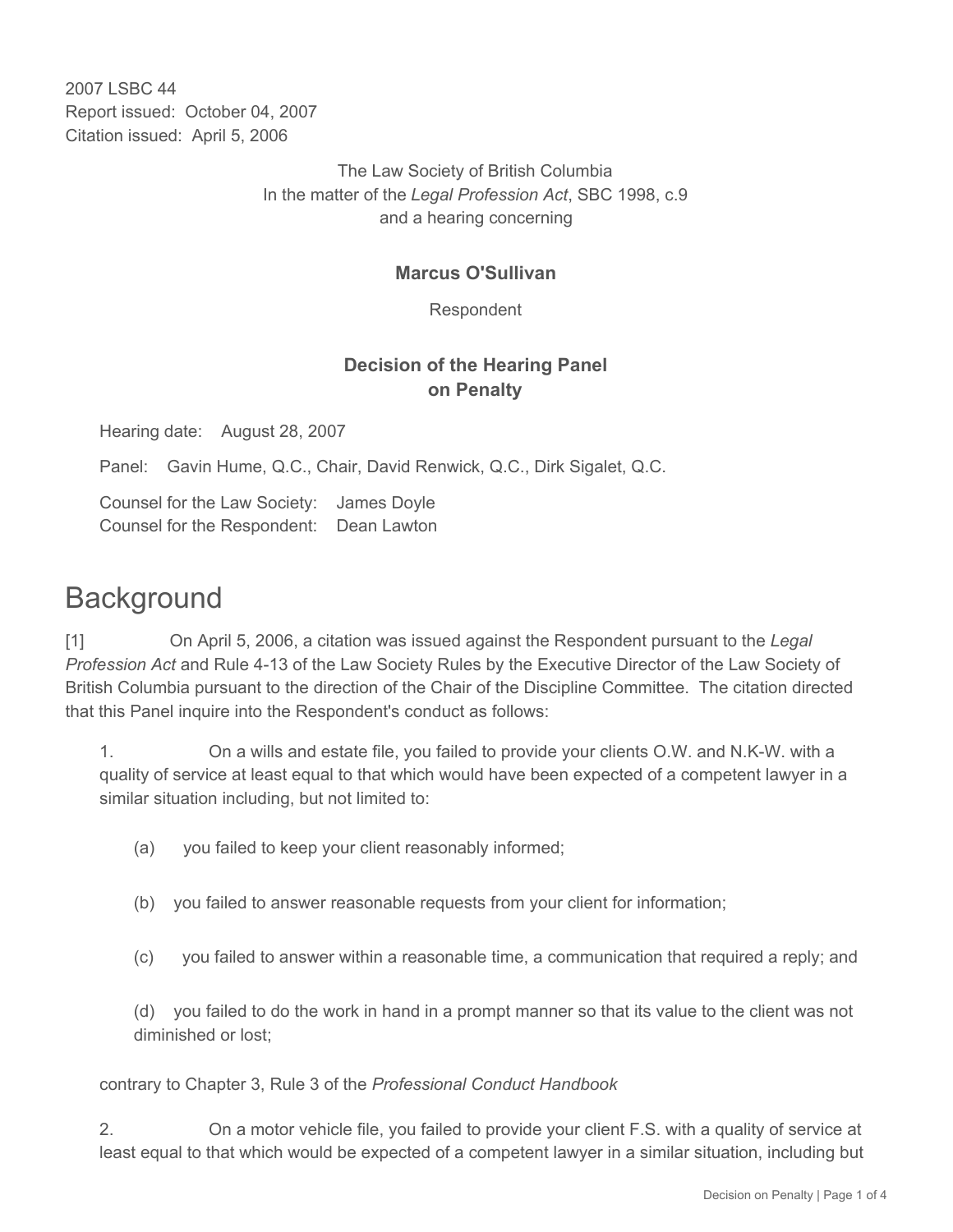2007 LSBC 44 Report issued: October 04, 2007 Citation issued: April 5, 2006

> The Law Society of British Columbia In the matter of the *Legal Profession Act*, SBC 1998, c.9 and a hearing concerning

## **Marcus O'Sullivan**

Respondent

## **Decision of the Hearing Panel on Penalty**

Hearing date: August 28, 2007

Panel: Gavin Hume, Q.C., Chair, David Renwick, Q.C., Dirk Sigalet, Q.C.

Counsel for the Law Society: James Doyle Counsel for the Respondent: Dean Lawton

## **Background**

[1] On April 5, 2006, a citation was issued against the Respondent pursuant to the *Legal Profession Act* and Rule 4-13 of the Law Society Rules by the Executive Director of the Law Society of British Columbia pursuant to the direction of the Chair of the Discipline Committee. The citation directed that this Panel inquire into the Respondent's conduct as follows:

1. On a wills and estate file, you failed to provide your clients O.W. and N.K-W. with a quality of service at least equal to that which would have been expected of a competent lawyer in a similar situation including, but not limited to:

- (a) you failed to keep your client reasonably informed;
- (b) you failed to answer reasonable requests from your client for information;
- (c) you failed to answer within a reasonable time, a communication that required a reply; and

(d) you failed to do the work in hand in a prompt manner so that its value to the client was not diminished or lost;

contrary to Chapter 3, Rule 3 of the *Professional Conduct Handbook*

2. On a motor vehicle file, you failed to provide your client F.S. with a quality of service at least equal to that which would be expected of a competent lawyer in a similar situation, including but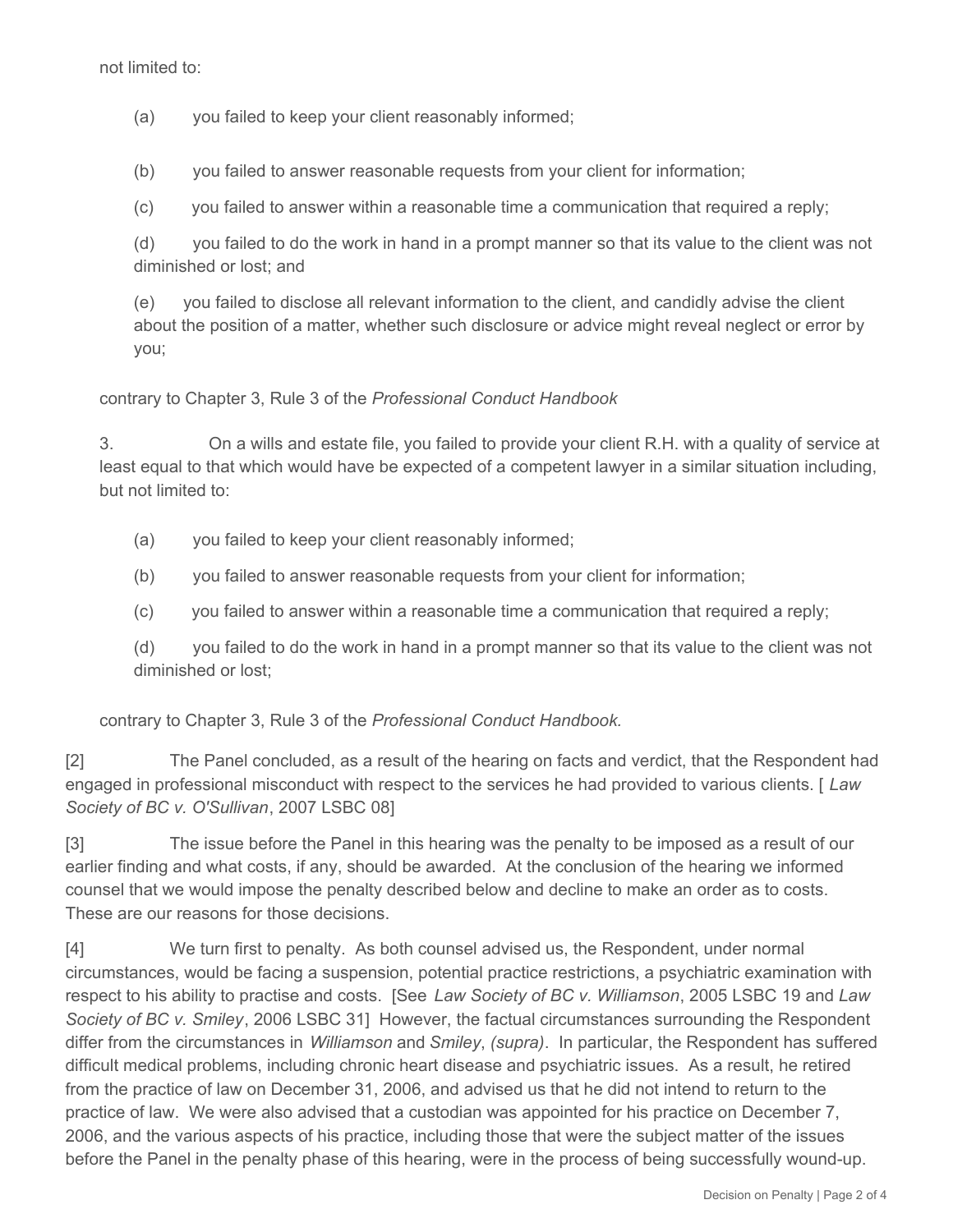not limited to:

(a) you failed to keep your client reasonably informed;

(b) you failed to answer reasonable requests from your client for information;

(c) you failed to answer within a reasonable time a communication that required a reply;

(d) you failed to do the work in hand in a prompt manner so that its value to the client was not diminished or lost; and

(e) you failed to disclose all relevant information to the client, and candidly advise the client about the position of a matter, whether such disclosure or advice might reveal neglect or error by you;

contrary to Chapter 3, Rule 3 of the *Professional Conduct Handbook*

3. On a wills and estate file, you failed to provide your client R.H. with a quality of service at least equal to that which would have be expected of a competent lawyer in a similar situation including, but not limited to:

(a) you failed to keep your client reasonably informed;

(b) you failed to answer reasonable requests from your client for information;

(c) you failed to answer within a reasonable time a communication that required a reply;

(d) you failed to do the work in hand in a prompt manner so that its value to the client was not diminished or lost;

contrary to Chapter 3, Rule 3 of the *Professional Conduct Handbook.*

[2] The Panel concluded, as a result of the hearing on facts and verdict, that the Respondent had engaged in professional misconduct with respect to the services he had provided to various clients. [ *Law Society of BC v. O'Sullivan*, 2007 LSBC 08]

[3] The issue before the Panel in this hearing was the penalty to be imposed as a result of our earlier finding and what costs, if any, should be awarded. At the conclusion of the hearing we informed counsel that we would impose the penalty described below and decline to make an order as to costs. These are our reasons for those decisions.

[4] We turn first to penalty. As both counsel advised us, the Respondent, under normal circumstances, would be facing a suspension, potential practice restrictions, a psychiatric examination with respect to his ability to practise and costs. [See *Law Society of BC v. Williamson*, 2005 LSBC 19 and *Law Society of BC v. Smiley*, 2006 LSBC 31] However, the factual circumstances surrounding the Respondent differ from the circumstances in *Williamson* and *Smiley*, *(supra)*. In particular, the Respondent has suffered difficult medical problems, including chronic heart disease and psychiatric issues. As a result, he retired from the practice of law on December 31, 2006, and advised us that he did not intend to return to the practice of law. We were also advised that a custodian was appointed for his practice on December 7, 2006, and the various aspects of his practice, including those that were the subject matter of the issues before the Panel in the penalty phase of this hearing, were in the process of being successfully wound-up.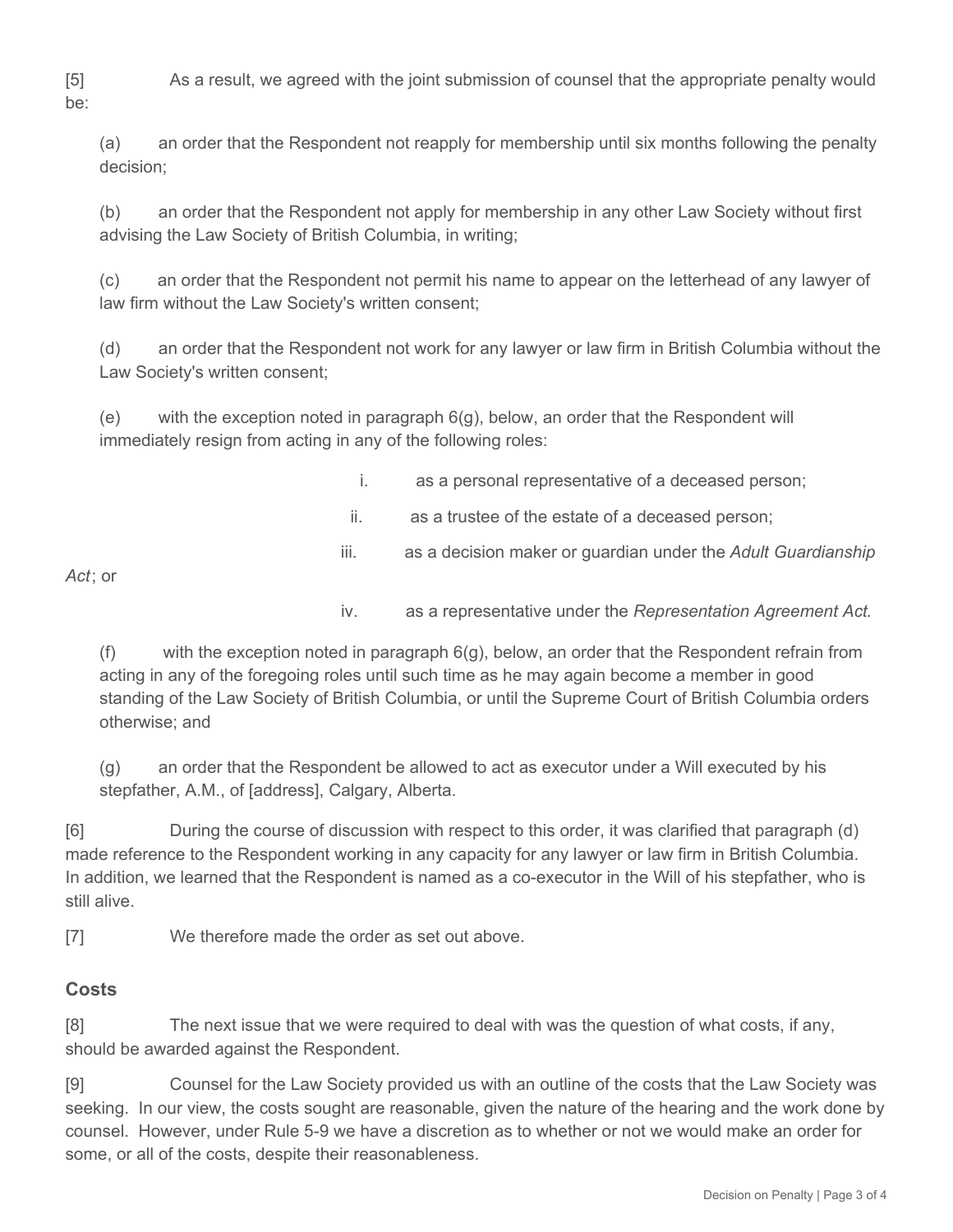[5] As a result, we agreed with the joint submission of counsel that the appropriate penalty would

(a) an order that the Respondent not reapply for membership until six months following the penalty decision;

(b) an order that the Respondent not apply for membership in any other Law Society without first advising the Law Society of British Columbia, in writing;

(c) an order that the Respondent not permit his name to appear on the letterhead of any lawyer of law firm without the Law Society's written consent;

(d) an order that the Respondent not work for any lawyer or law firm in British Columbia without the Law Society's written consent;

(e) with the exception noted in paragraph 6(g), below, an order that the Respondent will immediately resign from acting in any of the following roles:

- i. as a personal representative of a deceased person;
- ii. as a trustee of the estate of a deceased person;
- iii. as a decision maker or guardian under the *Adult Guardianship*

*Act*; or

iv. as a representative under the *Representation Agreement Act*.

(f) with the exception noted in paragraph 6(g), below, an order that the Respondent refrain from acting in any of the foregoing roles until such time as he may again become a member in good standing of the Law Society of British Columbia, or until the Supreme Court of British Columbia orders otherwise; and

(g) an order that the Respondent be allowed to act as executor under a Will executed by his stepfather, A.M., of [address], Calgary, Alberta.

[6] During the course of discussion with respect to this order, it was clarified that paragraph (d) made reference to the Respondent working in any capacity for any lawyer or law firm in British Columbia. In addition, we learned that the Respondent is named as a co-executor in the Will of his stepfather, who is still alive.

[7] We therefore made the order as set out above.

## **Costs**

[8] The next issue that we were required to deal with was the question of what costs, if any, should be awarded against the Respondent.

[9] Counsel for the Law Society provided us with an outline of the costs that the Law Society was seeking. In our view, the costs sought are reasonable, given the nature of the hearing and the work done by counsel. However, under Rule 5-9 we have a discretion as to whether or not we would make an order for some, or all of the costs, despite their reasonableness.

be: